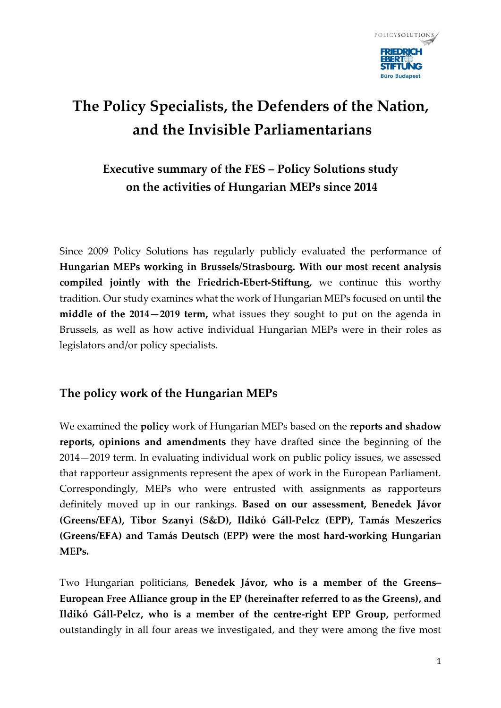

## **The Policy Specialists, the Defenders of the Nation, and the Invisible Parliamentarians**

## **Executive summary of the FES – Policy Solutions study on the activities of Hungarian MEPs since 2014**

Since 2009 Policy Solutions has regularly publicly evaluated the performance of **Hungarian MEPs working in Brussels/Strasbourg. With our most recent analysis compiled jointly with the Friedrich-Ebert-Stiftung,** we continue this worthy tradition. Our study examines what the work of Hungarian MEPs focused on until **the middle of the 2014—2019 term,** what issues they sought to put on the agenda in Brussels, as well as how active individual Hungarian MEPs were in their roles as legislators and/or policy specialists.

## **The policy work of the Hungarian MEPs**

We examined the **policy** work of Hungarian MEPs based on the **reports and shadow reports, opinions and amendments** they have drafted since the beginning of the 2014—2019 term. In evaluating individual work on public policy issues, we assessed that rapporteur assignments represent the apex of work in the European Parliament. Correspondingly, MEPs who were entrusted with assignments as rapporteurs definitely moved up in our rankings. **Based on our assessment, Benedek Jávor (Greens/EFA), Tibor Szanyi (S&D), Ildikó Gáll-Pelcz (EPP), Tamás Meszerics (Greens/EFA) and Tamás Deutsch (EPP) were the most hard-working Hungarian MEPs.** 

Two Hungarian politicians, **Benedek Jávor, who is a member of the Greens– European Free Alliance group in the EP (hereinafter referred to as the Greens), and Ildikó Gáll-Pelcz, who is a member of the centre-right EPP Group,** performed outstandingly in all four areas we investigated, and they were among the five most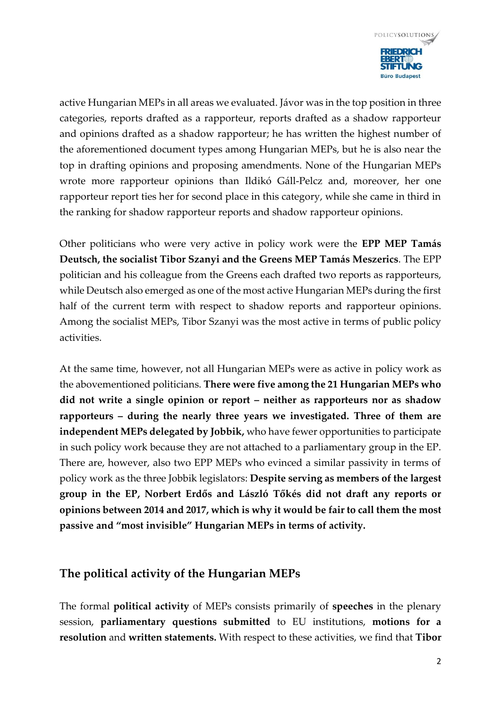

active Hungarian MEPs in all areas we evaluated. Jávor was in the top position in three categories, reports drafted as a rapporteur, reports drafted as a shadow rapporteur and opinions drafted as a shadow rapporteur; he has written the highest number of the aforementioned document types among Hungarian MEPs, but he is also near the top in drafting opinions and proposing amendments. None of the Hungarian MEPs wrote more rapporteur opinions than Ildikó Gáll-Pelcz and, moreover, her one rapporteur report ties her for second place in this category, while she came in third in the ranking for shadow rapporteur reports and shadow rapporteur opinions.

Other politicians who were very active in policy work were the **EPP MEP Tamás Deutsch, the socialist Tibor Szanyi and the Greens MEP Tamás Meszerics**. The EPP politician and his colleague from the Greens each drafted two reports as rapporteurs, while Deutsch also emerged as one of the most active Hungarian MEPs during the first half of the current term with respect to shadow reports and rapporteur opinions. Among the socialist MEPs, Tibor Szanyi was the most active in terms of public policy activities.

At the same time, however, not all Hungarian MEPs were as active in policy work as the abovementioned politicians. **There were five among the 21 Hungarian MEPs who did not write a single opinion or report – neither as rapporteurs nor as shadow rapporteurs – during the nearly three years we investigated. Three of them are independent MEPs delegated by Jobbik,** who have fewer opportunities to participate in such policy work because they are not attached to a parliamentary group in the EP. There are, however, also two EPP MEPs who evinced a similar passivity in terms of policy work as the three Jobbik legislators: **Despite serving as members of the largest group in the EP, Norbert Erdős and László Tőkés did not draft any reports or opinions between 2014 and 2017, which is why it would be fair to call them the most passive and "most invisible" Hungarian MEPs in terms of activity.** 

## **The political activity of the Hungarian MEPs**

The formal **political activity** of MEPs consists primarily of **speeches** in the plenary session, **parliamentary questions submitted** to EU institutions, **motions for a resolution** and **written statements.** With respect to these activities, we find that **Tibor**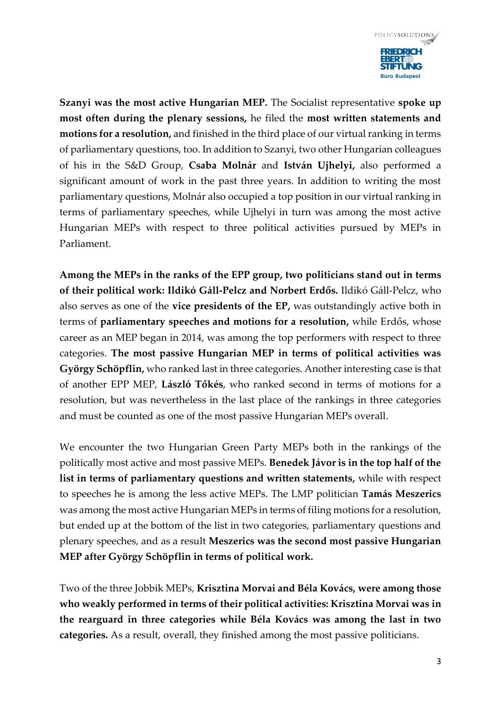

**Szanyi was the most active Hungarian MEP.** The Socialist representative **spoke up most often during the plenary sessions,** he filed the **most written statements and motions for a resolution,** and finished in the third place of our virtual ranking in terms of parliamentary questions, too. In addition to Szanyi, two other Hungarian colleagues of his in the S&D Group, **Csaba Molnár** and **István Ujhelyi,** also performed a significant amount of work in the past three years. In addition to writing the most parliamentary questions, Molnár also occupied a top position in our virtual ranking in terms of parliamentary speeches, while Ujhelyi in turn was among the most active Hungarian MEPs with respect to three political activities pursued by MEPs in Parliament.

**Among the MEPs in the ranks of the EPP group, two politicians stand out in terms of their political work: Ildikó Gáll-Pelcz and Norbert Erdős.** Ildikó Gáll-Pelcz, who also serves as one of the **vice presidents of the EP,** was outstandingly active both in terms of **parliamentary speeches and motions for a resolution,** while Erdős, whose career as an MEP began in 2014, was among the top performers with respect to three categories. **The most passive Hungarian MEP in terms of political activities was György Schöpflin,** who ranked last in three categories. Another interesting case is that of another EPP MEP, **László Tőkés**, who ranked second in terms of motions for a resolution, but was nevertheless in the last place of the rankings in three categories and must be counted as one of the most passive Hungarian MEPs overall.

We encounter the two Hungarian Green Party MEPs both in the rankings of the politically most active and most passive MEPs. **Benedek Jávor is in the top half of the list in terms of parliamentary questions and written statements,** while with respect to speeches he is among the less active MEPs. The LMP politician **Tamás Meszerics**  was among the most active Hungarian MEPs in terms of filing motions for a resolution, but ended up at the bottom of the list in two categories, parliamentary questions and plenary speeches, and as a result **Meszerics was the second most passive Hungarian MEP after György Schöpflin in terms of political work.** 

Two of the three Jobbik MEPs, **Krisztina Morvai and Béla Kovács, were among those who weakly performed in terms of their political activities: Krisztina Morvai was in the rearguard in three categories while Béla Kovács was among the last in two categories.** As a result, overall, they finished among the most passive politicians.